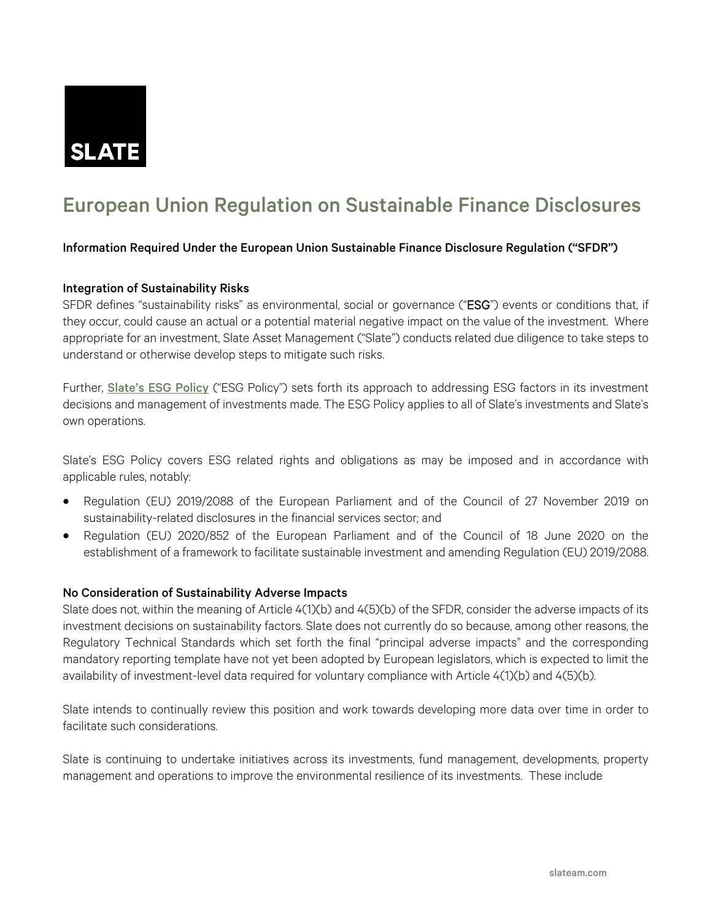

# European Union Regulation on Sustainable Finance Disclosures

#### Information Required Under the European Union Sustainable Finance Disclosure Regulation ("SFDR")

#### Integration of Sustainability Risks

SFDR defines "sustainability risks" as environmental, social or governance ("ESG") events or conditions that, if they occur, could cause an actual or a potential material negative impact on the value of the investment. Where appropriate for an investment, Slate Asset Management ("Slate") conducts related due diligence to take steps to understand or otherwise develop steps to mitigate such risks.

Further, [Slate's ESG Policy](https://www.slateam.com/sites/default/files/slate_esg_policy_-_final_10.3.22.pdf) ("ESG Policy") sets forth its approach to addressing ESG factors in its investment decisions and management of investments made. The ESG Policy applies to all of Slate's investments and Slate's own operations.

Slate's ESG Policy covers ESG related rights and obligations as may be imposed and in accordance with applicable rules, notably:

- Regulation (EU) 2019/2088 of the European Parliament and of the Council of 27 November 2019 on sustainability-related disclosures in the financial services sector; and
- Regulation (EU) 2020/852 of the European Parliament and of the Council of 18 June 2020 on the establishment of a framework to facilitate sustainable investment and amending Regulation (EU) 2019/2088.

#### No Consideration of Sustainability Adverse Impacts

Slate does not, within the meaning of Article 4(1)(b) and 4(5)(b) of the SFDR, consider the adverse impacts of its investment decisions on sustainability factors. Slate does not currently do so because, among other reasons, the Regulatory Technical Standards which set forth the final "principal adverse impacts" and the corresponding mandatory reporting template have not yet been adopted by European legislators, which is expected to limit the availability of investment-level data required for voluntary compliance with Article 4(1)(b) and 4(5)(b).

Slate intends to continually review this position and work towards developing more data over time in order to facilitate such considerations.

Slate is continuing to undertake initiatives across its investments, fund management, developments, property management and operations to improve the environmental resilience of its investments. These include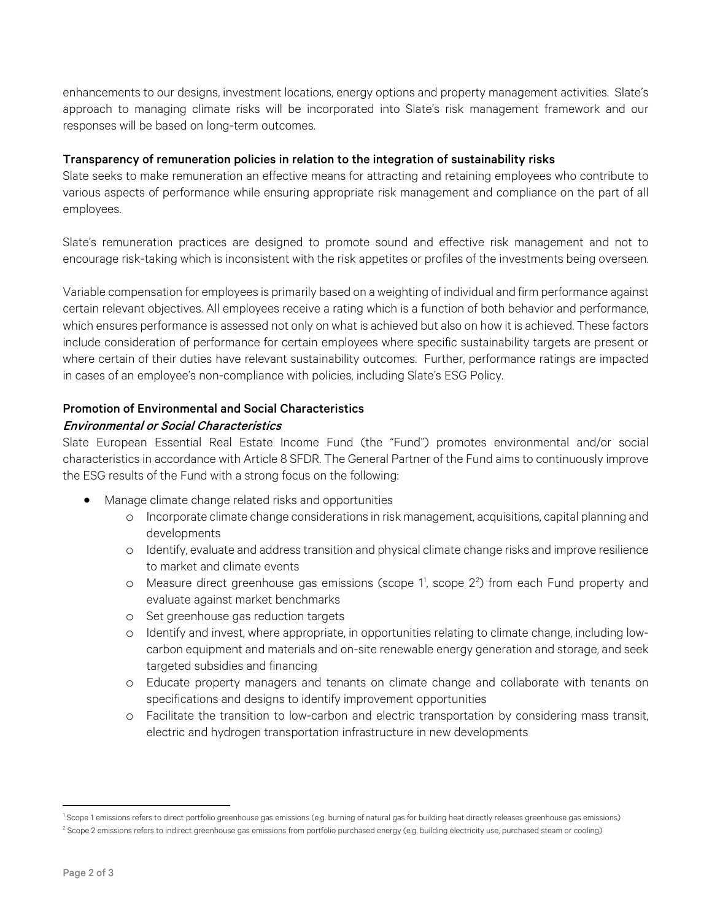enhancements to our designs, investment locations, energy options and property management activities. Slate's approach to managing climate risks will be incorporated into Slate's risk management framework and our responses will be based on long-term outcomes.

## Transparency of remuneration policies in relation to the integration of sustainability risks

Slate seeks to make remuneration an effective means for attracting and retaining employees who contribute to various aspects of performance while ensuring appropriate risk management and compliance on the part of all employees.

Slate's remuneration practices are designed to promote sound and effective risk management and not to encourage risk-taking which is inconsistent with the risk appetites or profiles of the investments being overseen.

Variable compensation for employees is primarily based on a weighting of individual and firm performance against certain relevant objectives. All employees receive a rating which is a function of both behavior and performance, which ensures performance is assessed not only on what is achieved but also on how it is achieved. These factors include consideration of performance for certain employees where specific sustainability targets are present or where certain of their duties have relevant sustainability outcomes. Further, performance ratings are impacted in cases of an employee's non-compliance with policies, including Slate's ESG Policy.

# Promotion of Environmental and Social Characteristics

## Environmental or Social Characteristics

Slate European Essential Real Estate Income Fund (the "Fund") promotes environmental and/or social characteristics in accordance with Article 8 SFDR. The General Partner of the Fund aims to continuously improve the ESG results of the Fund with a strong focus on the following:

- Manage climate change related risks and opportunities
	- o Incorporate climate change considerations in risk management, acquisitions, capital planning and developments
	- o Identify, evaluate and address transition and physical climate change risks and improve resilience to market and climate events
	- o Measure direct greenhouse gas emissions (scope 1[1](#page-1-0) , scope 2[2](#page-1-1) ) from each Fund property and evaluate against market benchmarks
	- o Set greenhouse gas reduction targets
	- o Identify and invest, where appropriate, in opportunities relating to climate change, including lowcarbon equipment and materials and on-site renewable energy generation and storage, and seek targeted subsidies and financing
	- o Educate property managers and tenants on climate change and collaborate with tenants on specifications and designs to identify improvement opportunities
	- o Facilitate the transition to low-carbon and electric transportation by considering mass transit, electric and hydrogen transportation infrastructure in new developments

<span id="page-1-0"></span><sup>&</sup>lt;sup>1</sup> Scope 1 emissions refers to direct portfolio greenhouse gas emissions (e.g. burning of natural gas for building heat directly releases greenhouse gas emissions)

<span id="page-1-1"></span><sup>&</sup>lt;sup>2</sup> Scope 2 emissions refers to indirect greenhouse gas emissions from portfolio purchased energy (e.g. building electricity use, purchased steam or cooling)